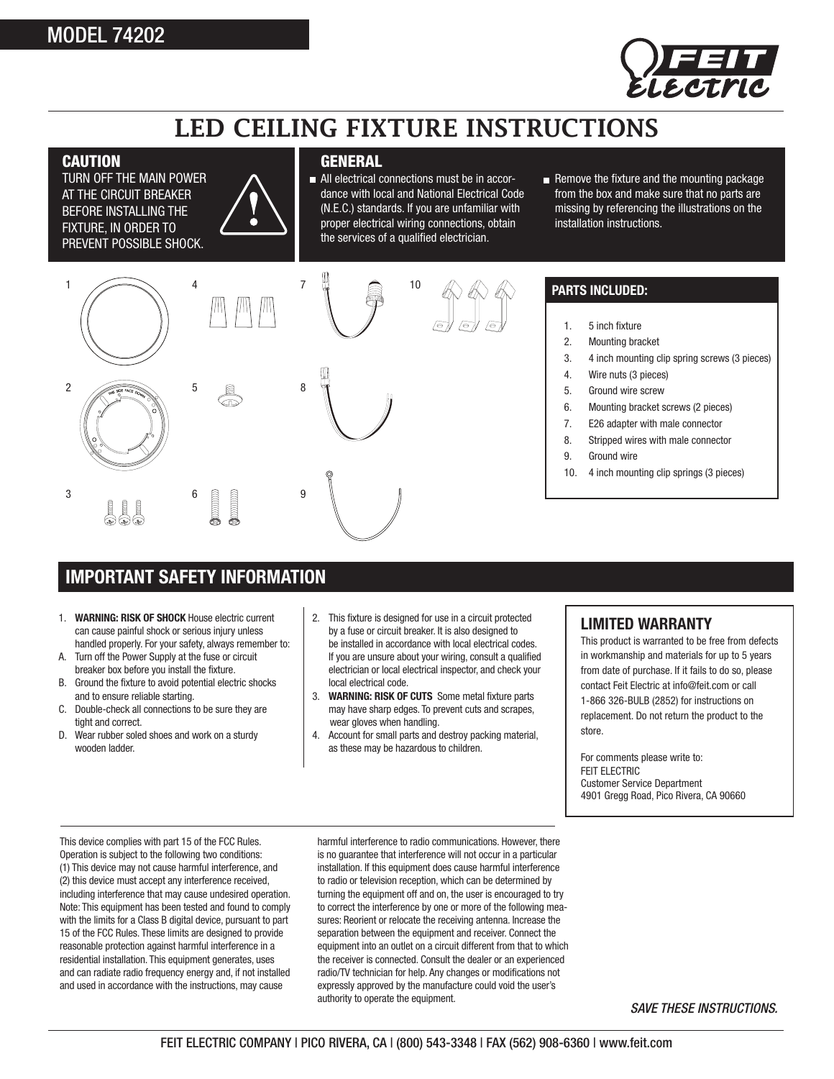## MODEL 74202



## LED CEILING FIXTURE INSTRUCTIONS

#### **CAUTION**

TURN OFF THE MAIN POWER AT THE CIRCUIT BREAKER BEFORE INSTALLING THE FIXTURE, IN ORDER TO PREVENT POSSIBLE SHOCK.

#### **GENERAL**

- All electrical connections must be in accordance with local and National Electrical Code (N.E.C.) standards. If you are unfamiliar with proper electrical wiring connections, obtain the services of a qualified electrician.
- Remove the fixture and the mounting Remove the fixture and the mounting package from the box and make sure that no parts are missing by referencing the illustrations on the installation instructions.







### **PARTS INCLUDED:**

- 1. 5 inch fixture
- 2. Mounting bracket
- 3. 4 inch mounting clip spring screws (3 pieces)
- 4. Wire nuts (3 pieces)
- 5. Ground wire screw
- 6. Mounting bracket screws (2 pieces)
- 7. E26 adapter with male connector
- 8. Stripped wires with male connector
- 9. Ground wire
- 10. 4 inch mounting clip springs (3 pieces)

### **IMPORTANT SAFETY INFORMATION**

- 1. **WARNING: RISK OF SHOCK** House electric current can cause painful shock or serious injury unless handled properly. For your safety, always remember to:
- A. Turn off the Power Supply at the fuse or circuit breaker box before you install the fixture.
- B. Ground the fixture to avoid potential electric shocks and to ensure reliable starting.
- C. Double-check all connections to be sure they are tight and correct.
- D. Wear rubber soled shoes and work on a sturdy wooden ladder.
- 2. This fixture is designed for use in a circuit protected by a fuse or circuit breaker. It is also designed to be installed in accordance with local electrical codes. If you are unsure about your wiring, consult a qualified electrician or local electrical inspector, and check your local electrical code.
- 3. **WARNING: RISK OF CUTS** Some metal fixture parts may have sharp edges. To prevent cuts and scrapes, wear gloves when handling.
- 4. Account for small parts and destroy packing material, as these may be hazardous to children.

### **LIMITED WARRANTY**

This product is warranted to be free from defects in workmanship and materials for up to 5 years from date of purchase. If it fails to do so, please contact Feit Electric at info@feit.com or call 1-866 326-BULB (2852) for instructions on replacement. Do not return the product to the store.

For comments please write to: FEIT ELECTRIC Customer Service Department 4901 Gregg Road, Pico Rivera, CA 90660

This device complies with part 15 of the FCC Rules. Operation is subject to the following two conditions: (1) This device may not cause harmful interference, and (2) this device must accept any interference received, including interference that may cause undesired operation. Note: This equipment has been tested and found to comply with the limits for a Class B digital device, pursuant to part 15 of the FCC Rules. These limits are designed to provide reasonable protection against harmful interference in a residential installation. This equipment generates, uses and can radiate radio frequency energy and, if not installed and used in accordance with the instructions, may cause

harmful interference to radio communications. However, there is no guarantee that interference will not occur in a particular installation. If this equipment does cause harmful interference to radio or television reception, which can be determined by turning the equipment off and on, the user is encouraged to try to correct the interference by one or more of the following measures: Reorient or relocate the receiving antenna. Increase the separation between the equipment and receiver. Connect the equipment into an outlet on a circuit different from that to which the receiver is connected. Consult the dealer or an experienced radio/TV technician for help. Any changes or modifications not expressly approved by the manufacture could void the user's authority to operate the equipment.

*SAVE THESE INSTRUCTIONS.*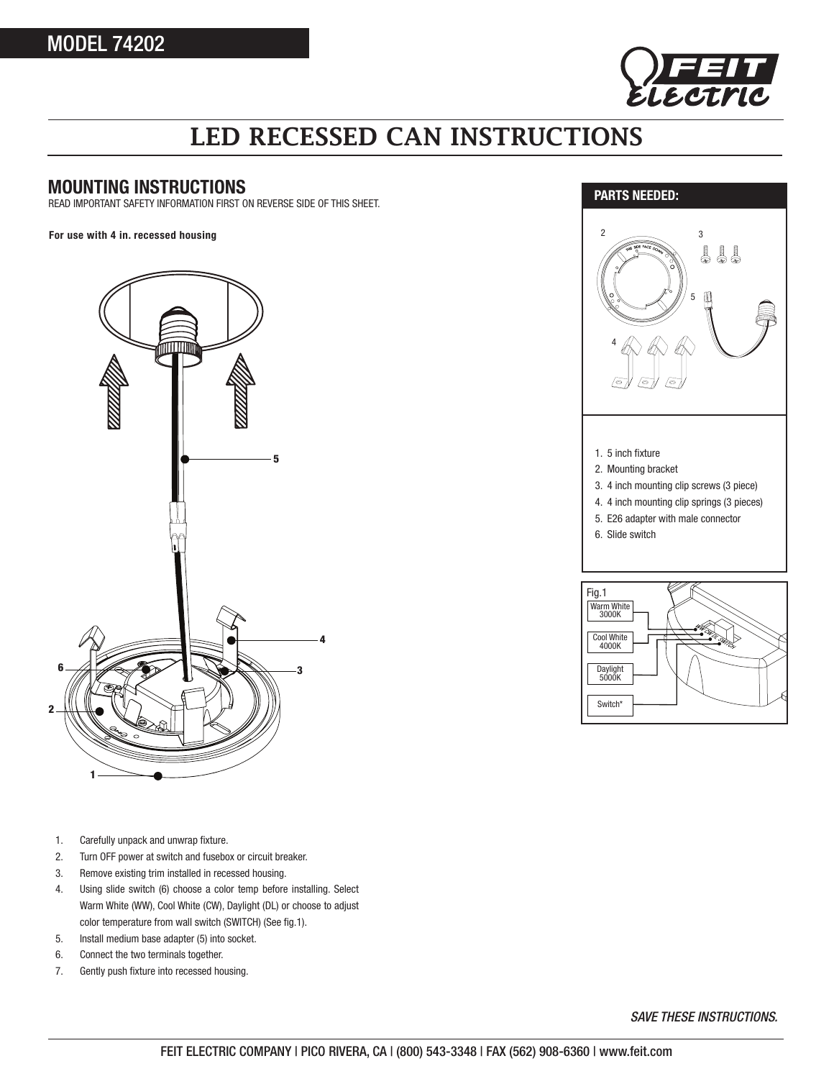

# LED RECESSED CAN INSTRUCTIONS

### **MOUNTING INSTRUCTIONS**

READ IMPORTANT SAFETY INFORMATION FIRST ON REVERSE SIDE OF THIS SHEET.

**For use with 4 in. recessed housing**







- 1. Carefully unpack and unwrap fixture.
- 2. Turn OFF power at switch and fusebox or circuit breaker.
- 3. Remove existing trim installed in recessed housing.
- 4. Using slide switch (6) choose a color temp before installing. Select Warm White (WW), Cool White (CW), Daylight (DL) or choose to adjust color temperature from wall switch (SWITCH) (See fig.1).
- 5. Install medium base adapter (5) into socket.
- 6. Connect the two terminals together.
- 7. Gently push fixture into recessed housing.

*SAVE THESE INSTRUCTIONS.*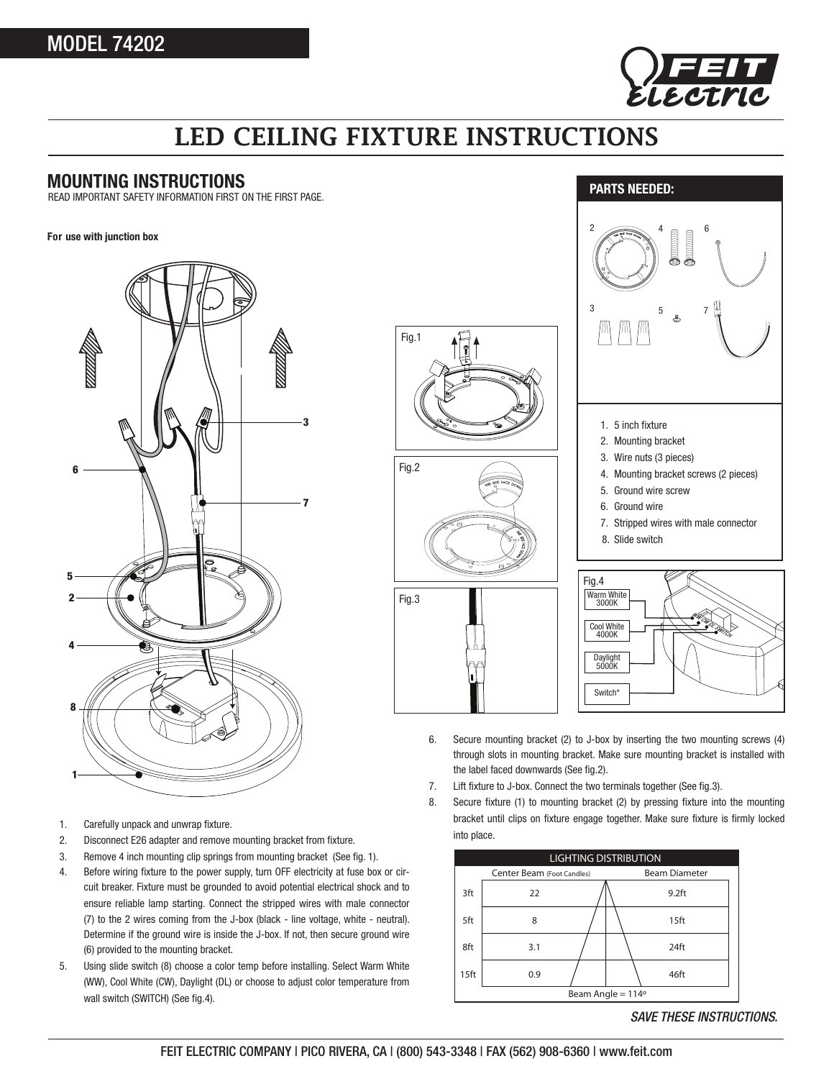

## LED CEILING FIXTURE INSTRUCTIONS

Fig.1

Fig.2

Fig.3

#### **MOUNTING INSTRUCTIONS**

READ IMPORTANT SAFETY INFORMATION FIRST ON THE FIRST PAGE.

#### **For use with junction box**



- 1. Carefully unpack and unwrap fixture.
- 2. Disconnect E26 adapter and remove mounting bracket from fixture.
- 3. Remove 4 inch mounting clip springs from mounting bracket (See fig. 1).
- 4. Before wiring fixture to the power supply, turn OFF electricity at fuse box or circuit breaker. Fixture must be grounded to avoid potential electrical shock and to ensure reliable lamp starting. Connect the stripped wires with male connector (7) to the 2 wires coming from the J-box (black - line voltage, white - neutral). Determine if the ground wire is inside the J-box. If not, then secure ground wire (6) provided to the mounting bracket.
- 5. Using slide switch (8) choose a color temp before installing. Select Warm White (WW), Cool White (CW), Daylight (DL) or choose to adjust color temperature from wall switch (SWITCH) (See fig.4).



- 6. Secure mounting bracket (2) to J-box by inserting the two mounting screws (4) through slots in mounting bracket. Make sure mounting bracket is installed with the label faced downwards (See fig.2).
- 7. Lift fixture to J-box. Connect the two terminals together (See fig.3).
- 8. Secure fixture (1) to mounting bracket (2) by pressing fixture into the mounting bracket until clips on fixture engage together. Make sure fixture is firmly locked into place.



*SAVE THESE INSTRUCTIONS.*